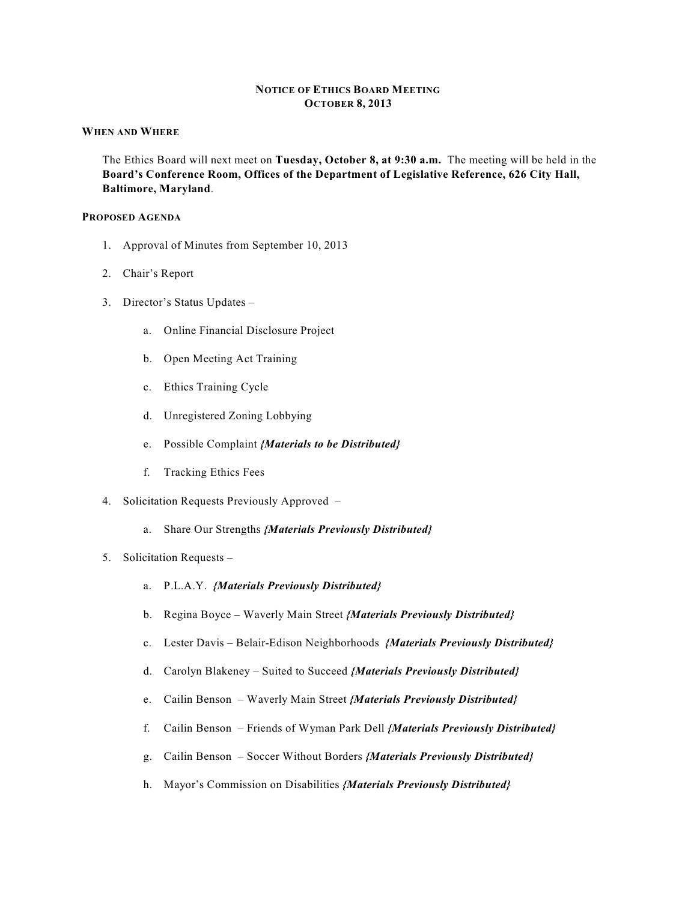# **NOTICE OF ETHICS BOARD MEETING OCTOBER 8, 2013**

### **WHEN AND WHERE**

The Ethics Board will next meet on **Tuesday, October 8, at 9:30 a.m.** The meeting will be held in the **Board's Conference Room, Offices of the Department of Legislative Reference, 626 City Hall, Baltimore, Maryland**.

#### **PROPOSED AGENDA**

- 1. Approval of Minutes from September 10, 2013
- 2. Chair's Report
- 3. Director's Status Updates
	- a. Online Financial Disclosure Project
	- b. Open Meeting Act Training
	- c. Ethics Training Cycle
	- d. Unregistered Zoning Lobbying
	- e. Possible Complaint *{Materials to be Distributed}*
	- f. Tracking Ethics Fees
- 4. Solicitation Requests Previously Approved
	- a. Share Our Strengths *{Materials Previously Distributed}*

#### 5. Solicitation Requests –

- a. P.L.A.Y. *{Materials Previously Distributed}*
- b. Regina Boyce Waverly Main Street *{Materials Previously Distributed}*
- c. Lester Davis Belair-Edison Neighborhoods *{Materials Previously Distributed}*
- d. Carolyn Blakeney Suited to Succeed *{Materials Previously Distributed}*
- e. Cailin Benson Waverly Main Street *{Materials Previously Distributed}*
- f. Cailin Benson Friends of Wyman Park Dell *{Materials Previously Distributed}*
- g. Cailin Benson Soccer Without Borders *{Materials Previously Distributed}*
- h. Mayor's Commission on Disabilities *{Materials Previously Distributed}*